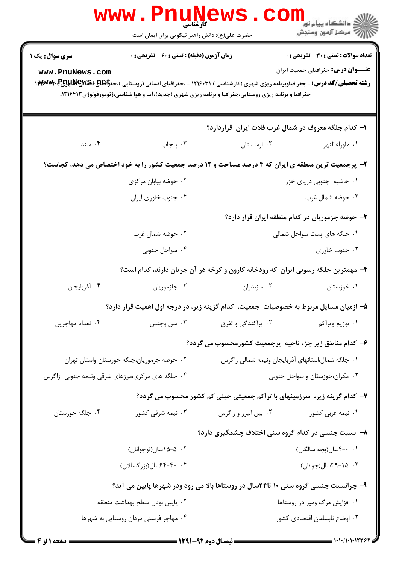|                                                   | www.PnuNews                                   |                                                                                                                                                                                                                                                                     |                                                                                           |
|---------------------------------------------------|-----------------------------------------------|---------------------------------------------------------------------------------------------------------------------------------------------------------------------------------------------------------------------------------------------------------------------|-------------------------------------------------------------------------------------------|
|                                                   | حضرت علی(ع): دانش راهبر نیکویی برای ایمان است |                                                                                                                                                                                                                                                                     | ر دانشگاه پيام نور <mark>− .</mark><br>ارا⊄ مرکز آزمون وسنجش                              |
| <b>سری سوال :</b> یک ۱<br>www.PnuNews.com         | زمان آزمون (دقیقه) : تستی : 60 ٪ تشریحی : 0   | <b>رشته تحصیلی/کد درس:</b> - جغرافیاوبرنامه ریزی شهری (کارشناسی ) ۱۲۱۶۰۳۱ - ،جغرافیای انسانی (روستایی )،جغ <del>را@S</del> و&ا <b>@UXX الاسترالالا</b> لالا)<br>جغرافیا و برنامه ریزی روستایی،جغرافیا و برنامه ریزی شهری (جدید)،آب و هوا شناسی،ژئومورفولوژی۱۲۱۶۴۱۳، | <b>تعداد سوالات : تستی : 30 ٪ تشریحی : 0</b><br><b>عنـــوان درس:</b> جغرافیای جمعیت ایران |
|                                                   |                                               | ۱– کدام جلگه معروف در شمال غرب فلات ایران قراردارد؟                                                                                                                                                                                                                 |                                                                                           |
| ۰۴ سند                                            | ۰۳ پنجاب                                      |                                                                                                                                                                                                                                                                     | ٠١ ماوراء النهر مستان . ٢٠ ارمنستان                                                       |
|                                                   |                                               | ۲- پرجمعیت ترین منطقه ی ایران که ۴ درصد مساحت و ۱۲ درصد جمعیت کشور را به خود اختصاص می دهد، کجاست؟                                                                                                                                                                  |                                                                                           |
|                                                   | ۰۲ حوضه بیابان مرکزی                          |                                                                                                                                                                                                                                                                     | ۰۱ حاشیه جنوبی دریای خزر                                                                  |
|                                                   | ۰۴ جنوب خاوري ايران                           |                                                                                                                                                                                                                                                                     | ۰۳ حوضه شمال غرب                                                                          |
|                                                   |                                               |                                                                                                                                                                                                                                                                     | ۳- حوضه جزموریان در کدام منطقه ایران قرار دارد؟                                           |
|                                                   | ۰۲ حوضه شمال غرب                              |                                                                                                                                                                                                                                                                     | ۰۱ جلگه های پست سواحل شمالی                                                               |
|                                                   | ۰۴ سواحل جنوبی                                |                                                                                                                                                                                                                                                                     | ۰۳ جنوب خاوري                                                                             |
|                                                   |                                               | ۴- مهمترین جلگه رسوبی ایران که رودخانه کارون و کرخه در آن جریان دارند، کدام است؟                                                                                                                                                                                    |                                                                                           |
| ۰۴ آذربایجان                                      | ۰۳ جازموريان                                  | ۰۲ مازندران                                                                                                                                                                                                                                                         | ۰۱ خوزستان                                                                                |
|                                                   |                                               | ۵– ازمیان مسایل مربوط به خصوصیات جمعیت، کدام گزینه زیر، در درجه اول اهمیت قرار دارد؟                                                                                                                                                                                |                                                                                           |
| ۰۴ تعداد مهاجرين                                  | ۰۳ سن وجنس                                    | ۰۲ پراکندگی و تفرق                                                                                                                                                                                                                                                  | ٠١ توزيع وتراكم                                                                           |
|                                                   |                                               | ۶– کدام مناطق زیر جزء ناحیه پرجمعیت کشورمحسوب می گردد؟                                                                                                                                                                                                              |                                                                                           |
|                                                   | ۰۲ حوضه جزموریان،جلگه خوزستان واستان تهران    | ۰۱ جلگه شمال،استانهای آذربایجان ونیمه شمالی زاگرس                                                                                                                                                                                                                   |                                                                                           |
| ۰۴ جلگه های مرکزی،مرزهای شرقی ونیمه جنوبی ِ زاگرس |                                               | ۰۳ مکران،خوزستان و سواحل جنوبی                                                                                                                                                                                                                                      |                                                                                           |
|                                                   |                                               | ۷- کدام گزینه زیر، سرزمینهای با تراکم جمعیتی خیلی کم کشور محسوب می گردد؟                                                                                                                                                                                            |                                                                                           |
| ۰۴ جلگه خوزستان                                   | ۰۳ نیمه شرقی کشور                             | ٢. بين البرز و زاگرس                                                                                                                                                                                                                                                | ۰۱ نیمه غربی کشور                                                                         |
|                                                   |                                               | ۸- نسبت جنسی در کدام گروه سنی اختلاف چشمگیری دارد؟                                                                                                                                                                                                                  |                                                                                           |
|                                                   | ۰۲ ه-۱۵سال(نوجوانان)                          |                                                                                                                                                                                                                                                                     | ۰. ۰-۴سال(بچه سالگان)                                                                     |
|                                                   | ۰۴ - ۴۰-۴۴سال(بزرگسالان)                      |                                                                                                                                                                                                                                                                     | ۰۳ ـ ۲۹-۳۹سال(جوانان)                                                                     |
|                                                   |                                               | ۹- چرانسبت جنسی گروه سنی ۱۰ تا۴۴سال در روستاها بالا می رود ودر شهرها پایین می آید؟                                                                                                                                                                                  |                                                                                           |
|                                                   | ٠٢ پايين بودن سطح بهداشت منطقه                |                                                                                                                                                                                                                                                                     | ۰۱ افزایش مرگ ومیر در روستاها                                                             |
|                                                   | ۰۴ مهاجر فرستی مردان روستایی به شهرها         |                                                                                                                                                                                                                                                                     | ۰۳ اوضاع نابسامان اقتصادی کشور                                                            |
|                                                   |                                               |                                                                                                                                                                                                                                                                     |                                                                                           |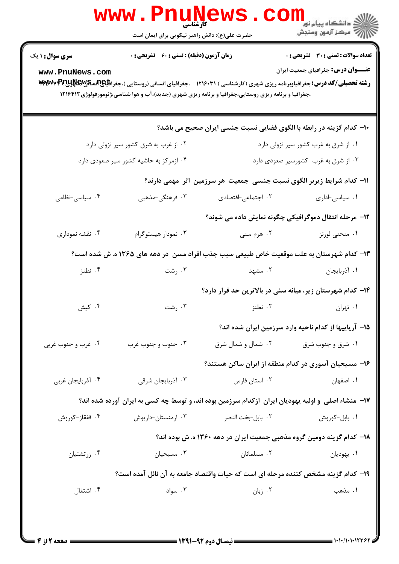| <b>زمان آزمون (دقیقه) : تستی : 60 ٪ تشریحی : 0</b><br><b>سری سوال : ۱ یک</b><br><b>عنــــوان درس:</b> جغرافیای جمعیت ایران<br>www.PnuNews.com<br><b>رشته تحصیلی/کد درس:</b> جغرافیاوبرنامه ریزی شهری (کارشناسی ) ۱۲۱۶۰۳۱ - ،جغرافیای انسانی (روستایی )،جغراف <del>یا@(آنما&amp;RW</del> WY\و <del>M</del> WY=<br>،جغرافیا و برنامه ریزی روستایی،جغرافیا و برنامه ریزی شهری (جدید)،آب و هوا شناسی،ژئومورفولوژی ۱۲۱۶۴۱۲<br>∙ا− کدام گزینه در رابطه با الگوی فضایی نسبت جنسی ایران صحیح می باشد؟<br>۰۲ از غرب به شرق کشور سیر نزولی دارد<br>۰۱ از شرق به غرب کشور سیر نزولی دارد<br>۰۳ از شرق به غرب کشورسیر صعودی دارد<br>۰۴ ازمرکز به حاشیه کشور سیر صعودی دارد<br>1۱– کدام شرایط زیربر الگوی نسبت جنسی جمعیت هر سرزمین آثر ًمهمی دارند؟<br>۰۴ سیاسی-نظامی<br>۰۳ فرهنگی-مذهبی<br>٠٢ اجتماعي-اقتصادى<br>٠١ سياسي-اداري<br>۱۲- مرحله انتقال دموگرافیکی چگونه نمایش داده می شوند؟<br>۰۴ نقشه نموداری<br>۰۳ نمودار هیستوگرام<br>۰۲ هرم سنی<br>۰۱ منحنی لورنز<br>۱۳- کدام شهرستان به علت موقعیت خاص طبیعی سبب جذب افراد مسن ً در دهه های ۱۳۶۵ ه. ش شده است؟<br>۰۴ نطنز<br>ت سنت $\cdot$<br>۰۲ مشهد<br>٠١. أذربايجان<br>۱۴– کدام شهرستان زیر، میانه سنی در بالاترین حد قرار دارد؟<br>۰۴ کیش<br>۰۱ تهران سال ۲۰۰۲ نطنز است تا ۲۰۰ رشت<br>1۵– آریاییها از کدام ناحیه وارد سرزمین ایران شده اند؟<br>۰۴ غرب و جنوب غربی<br>۰۳ جنوب و جنوب غرب<br>۰۱ شرق و جنوب شرق مسلسل از شمال شرق<br>۱۶– مسیحیان آسوری در کدام منطقه از ایران ساکن هستند؟<br>۰۴ آذربایجان غربی<br>۰۳ آذربایجان شرقی<br>۰۲ استان فارس<br>٠١. اصفهان<br>۱۷- منشاء اصلی و اولیه یهودیان ایران ازکدام سرزمین بوده اند، و توسط چه کسی به ایران آورده شده اند؟<br>٠٢ بابل-بخت النصر<br>۰۱ بابل-کوروش<br>۰۴ قفقاز-کوروش<br>۰۳ ارمنستان-داریوش<br>۱۸– کدام گزینه دومین گروه مذهبی جمعیت ایران در دهه ۱۳۶۰ ه. ش بوده اند؟<br>۰۴ زرتشتیان<br>۰۳ مسیحیان<br>۰۲ مسلمانان<br>۰۱ يهوديان<br>۱۹– کدام گزینه مشخص کننده مرحله ای است که حیات واقتصاد جامعه به آن نائل آمده است؟<br>۰۲ زبان<br>۰۴ اشتغال<br>۰۳ سواد<br>۱. مذهب |  | <b>www.PnuNews</b><br>کارشناسی<br>حضرت علی(ع): دانش راهبر نیکویی برای ایمان است | الاري دانشگاه پيام نور<br>الارات<br>الارات مرکز آزمون وسنڊش |
|-----------------------------------------------------------------------------------------------------------------------------------------------------------------------------------------------------------------------------------------------------------------------------------------------------------------------------------------------------------------------------------------------------------------------------------------------------------------------------------------------------------------------------------------------------------------------------------------------------------------------------------------------------------------------------------------------------------------------------------------------------------------------------------------------------------------------------------------------------------------------------------------------------------------------------------------------------------------------------------------------------------------------------------------------------------------------------------------------------------------------------------------------------------------------------------------------------------------------------------------------------------------------------------------------------------------------------------------------------------------------------------------------------------------------------------------------------------------------------------------------------------------------------------------------------------------------------------------------------------------------------------------------------------------------------------------------------------------------------------------------------------------------------------------------------------------------------------------------------------------------------------------------------------------------------------------------------------------------|--|---------------------------------------------------------------------------------|-------------------------------------------------------------|
|                                                                                                                                                                                                                                                                                                                                                                                                                                                                                                                                                                                                                                                                                                                                                                                                                                                                                                                                                                                                                                                                                                                                                                                                                                                                                                                                                                                                                                                                                                                                                                                                                                                                                                                                                                                                                                                                                                                                                                       |  |                                                                                 | <b>تعداد سوالات : تستی : 30 ٪ تشریحی : 0</b>                |
|                                                                                                                                                                                                                                                                                                                                                                                                                                                                                                                                                                                                                                                                                                                                                                                                                                                                                                                                                                                                                                                                                                                                                                                                                                                                                                                                                                                                                                                                                                                                                                                                                                                                                                                                                                                                                                                                                                                                                                       |  |                                                                                 |                                                             |
|                                                                                                                                                                                                                                                                                                                                                                                                                                                                                                                                                                                                                                                                                                                                                                                                                                                                                                                                                                                                                                                                                                                                                                                                                                                                                                                                                                                                                                                                                                                                                                                                                                                                                                                                                                                                                                                                                                                                                                       |  |                                                                                 |                                                             |
|                                                                                                                                                                                                                                                                                                                                                                                                                                                                                                                                                                                                                                                                                                                                                                                                                                                                                                                                                                                                                                                                                                                                                                                                                                                                                                                                                                                                                                                                                                                                                                                                                                                                                                                                                                                                                                                                                                                                                                       |  |                                                                                 |                                                             |
|                                                                                                                                                                                                                                                                                                                                                                                                                                                                                                                                                                                                                                                                                                                                                                                                                                                                                                                                                                                                                                                                                                                                                                                                                                                                                                                                                                                                                                                                                                                                                                                                                                                                                                                                                                                                                                                                                                                                                                       |  |                                                                                 |                                                             |
|                                                                                                                                                                                                                                                                                                                                                                                                                                                                                                                                                                                                                                                                                                                                                                                                                                                                                                                                                                                                                                                                                                                                                                                                                                                                                                                                                                                                                                                                                                                                                                                                                                                                                                                                                                                                                                                                                                                                                                       |  |                                                                                 |                                                             |
|                                                                                                                                                                                                                                                                                                                                                                                                                                                                                                                                                                                                                                                                                                                                                                                                                                                                                                                                                                                                                                                                                                                                                                                                                                                                                                                                                                                                                                                                                                                                                                                                                                                                                                                                                                                                                                                                                                                                                                       |  |                                                                                 |                                                             |
|                                                                                                                                                                                                                                                                                                                                                                                                                                                                                                                                                                                                                                                                                                                                                                                                                                                                                                                                                                                                                                                                                                                                                                                                                                                                                                                                                                                                                                                                                                                                                                                                                                                                                                                                                                                                                                                                                                                                                                       |  |                                                                                 |                                                             |
|                                                                                                                                                                                                                                                                                                                                                                                                                                                                                                                                                                                                                                                                                                                                                                                                                                                                                                                                                                                                                                                                                                                                                                                                                                                                                                                                                                                                                                                                                                                                                                                                                                                                                                                                                                                                                                                                                                                                                                       |  |                                                                                 |                                                             |
|                                                                                                                                                                                                                                                                                                                                                                                                                                                                                                                                                                                                                                                                                                                                                                                                                                                                                                                                                                                                                                                                                                                                                                                                                                                                                                                                                                                                                                                                                                                                                                                                                                                                                                                                                                                                                                                                                                                                                                       |  |                                                                                 |                                                             |
|                                                                                                                                                                                                                                                                                                                                                                                                                                                                                                                                                                                                                                                                                                                                                                                                                                                                                                                                                                                                                                                                                                                                                                                                                                                                                                                                                                                                                                                                                                                                                                                                                                                                                                                                                                                                                                                                                                                                                                       |  |                                                                                 |                                                             |
|                                                                                                                                                                                                                                                                                                                                                                                                                                                                                                                                                                                                                                                                                                                                                                                                                                                                                                                                                                                                                                                                                                                                                                                                                                                                                                                                                                                                                                                                                                                                                                                                                                                                                                                                                                                                                                                                                                                                                                       |  |                                                                                 |                                                             |
|                                                                                                                                                                                                                                                                                                                                                                                                                                                                                                                                                                                                                                                                                                                                                                                                                                                                                                                                                                                                                                                                                                                                                                                                                                                                                                                                                                                                                                                                                                                                                                                                                                                                                                                                                                                                                                                                                                                                                                       |  |                                                                                 |                                                             |
|                                                                                                                                                                                                                                                                                                                                                                                                                                                                                                                                                                                                                                                                                                                                                                                                                                                                                                                                                                                                                                                                                                                                                                                                                                                                                                                                                                                                                                                                                                                                                                                                                                                                                                                                                                                                                                                                                                                                                                       |  |                                                                                 |                                                             |
|                                                                                                                                                                                                                                                                                                                                                                                                                                                                                                                                                                                                                                                                                                                                                                                                                                                                                                                                                                                                                                                                                                                                                                                                                                                                                                                                                                                                                                                                                                                                                                                                                                                                                                                                                                                                                                                                                                                                                                       |  |                                                                                 |                                                             |
|                                                                                                                                                                                                                                                                                                                                                                                                                                                                                                                                                                                                                                                                                                                                                                                                                                                                                                                                                                                                                                                                                                                                                                                                                                                                                                                                                                                                                                                                                                                                                                                                                                                                                                                                                                                                                                                                                                                                                                       |  |                                                                                 |                                                             |
|                                                                                                                                                                                                                                                                                                                                                                                                                                                                                                                                                                                                                                                                                                                                                                                                                                                                                                                                                                                                                                                                                                                                                                                                                                                                                                                                                                                                                                                                                                                                                                                                                                                                                                                                                                                                                                                                                                                                                                       |  |                                                                                 |                                                             |
|                                                                                                                                                                                                                                                                                                                                                                                                                                                                                                                                                                                                                                                                                                                                                                                                                                                                                                                                                                                                                                                                                                                                                                                                                                                                                                                                                                                                                                                                                                                                                                                                                                                                                                                                                                                                                                                                                                                                                                       |  |                                                                                 |                                                             |
|                                                                                                                                                                                                                                                                                                                                                                                                                                                                                                                                                                                                                                                                                                                                                                                                                                                                                                                                                                                                                                                                                                                                                                                                                                                                                                                                                                                                                                                                                                                                                                                                                                                                                                                                                                                                                                                                                                                                                                       |  |                                                                                 |                                                             |
|                                                                                                                                                                                                                                                                                                                                                                                                                                                                                                                                                                                                                                                                                                                                                                                                                                                                                                                                                                                                                                                                                                                                                                                                                                                                                                                                                                                                                                                                                                                                                                                                                                                                                                                                                                                                                                                                                                                                                                       |  |                                                                                 |                                                             |
|                                                                                                                                                                                                                                                                                                                                                                                                                                                                                                                                                                                                                                                                                                                                                                                                                                                                                                                                                                                                                                                                                                                                                                                                                                                                                                                                                                                                                                                                                                                                                                                                                                                                                                                                                                                                                                                                                                                                                                       |  |                                                                                 |                                                             |
|                                                                                                                                                                                                                                                                                                                                                                                                                                                                                                                                                                                                                                                                                                                                                                                                                                                                                                                                                                                                                                                                                                                                                                                                                                                                                                                                                                                                                                                                                                                                                                                                                                                                                                                                                                                                                                                                                                                                                                       |  |                                                                                 |                                                             |
|                                                                                                                                                                                                                                                                                                                                                                                                                                                                                                                                                                                                                                                                                                                                                                                                                                                                                                                                                                                                                                                                                                                                                                                                                                                                                                                                                                                                                                                                                                                                                                                                                                                                                                                                                                                                                                                                                                                                                                       |  |                                                                                 |                                                             |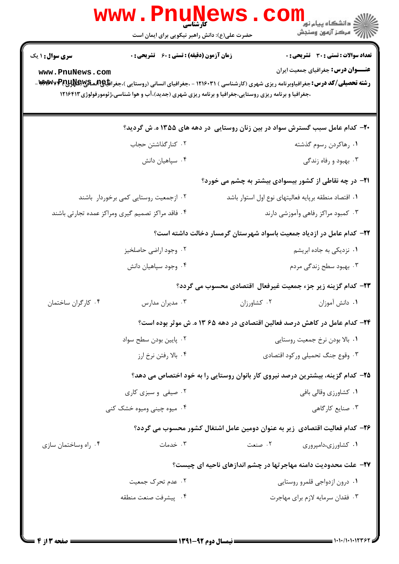|                                                   | <b>WWW.Pnugge</b><br>حضرت علی(ع): دانش راهبر نیکویی برای ایمان است                                                                                         |             | ر<br>دانشکاه پیام نور "<br>ا√ مرکز آزمون وسنجش                                                                                                                                                                                           |
|---------------------------------------------------|------------------------------------------------------------------------------------------------------------------------------------------------------------|-------------|------------------------------------------------------------------------------------------------------------------------------------------------------------------------------------------------------------------------------------------|
| <b>سری سوال : ۱ یک</b><br>www.PnuNews.com         | <b>زمان آزمون (دقیقه) : تستی : 60 ٪ تشریحی : 0</b><br>،جغرافیا و برنامه ریزی روستایی،جغرافیا و برنامه ریزی شهری (جدید)،آب و هوا شناسی،ژئومورفولوژی ۱۲۱۶۴۱۲ |             | <b>تعداد سوالات : تستی : 30 - تشریحی : 0</b><br>عنـــوان درس: جغرافیای جمعیت ایران<br><b>رشته تحصیلی/کد درس:</b> جغرافیاوبرنامه ریزی شهری (کارشناسی ) ۱۲۱۶۰۳۱ - ،جغرافیای انسانی (روستایی )،جغرا <b>فیای(آنمیکی/کیلاپانچا ۱۹۳۷/۶۷۷</b> - |
|                                                   |                                                                                                                                                            |             | +۲- کدام عامل سبب گسترش سواد در بین زنان روستایی در دهه های ۱۳۵۵ ه. ش گردید؟                                                                                                                                                             |
|                                                   | ۰۲ کنارگذاشتن حجاب                                                                                                                                         |             | ۰۱ رهاکردن رسوم گذشته                                                                                                                                                                                                                    |
|                                                   | ۰۴ سپاهیان دانش                                                                                                                                            |             | ۰۳ بهبود و رفاه زندگی                                                                                                                                                                                                                    |
|                                                   |                                                                                                                                                            |             | <b>۲۱</b> - در چه نقاطی از کشور بیسوادی بیشتر به چشم می خورد؟                                                                                                                                                                            |
|                                                   | ۰۲ ازجمعیت روستایی کمی برخوردار باشند                                                                                                                      |             | ٠١ اقتصاد منطقه برپايه فعاليتهاى نوع اول استوار باشد                                                                                                                                                                                     |
| ۰۴ فاقد مراکز تصمیم گیری ومراکز عمده تجارتی باشند |                                                                                                                                                            |             | ۰۳ کمبود مراکز رفاهی وآموزشی دارند                                                                                                                                                                                                       |
|                                                   |                                                                                                                                                            |             | ۲۲– کدام عامل در ازدیاد جمعیت باسواد شهرستان گرمسار دخالت داشته است؟                                                                                                                                                                     |
|                                                   | ۰۲ وجود اراضی حاصلخیز                                                                                                                                      |             | ۰۱ نزدیکی به جاده ابریشم                                                                                                                                                                                                                 |
|                                                   | ۰۴ وجود سپاهيان دانش                                                                                                                                       |             | ۰۳ بهبود سطح زندگی مردم                                                                                                                                                                                                                  |
|                                                   |                                                                                                                                                            |             | ۲۳– کدام گزینه زیر جزء جمعیت غیرفعال اقتصادی محسوب می گردد؟                                                                                                                                                                              |
| ۰۴ کارگران ساختمان                                | ۰۳ مدیران مدارس                                                                                                                                            | ٠٢ كشاورزان | ٠١ دانش آموزان                                                                                                                                                                                                                           |
|                                                   |                                                                                                                                                            |             | ۲۴- کدام عامل در کاهش درصد فعالین اقتصادی در دهه ۶۵ ۱۳ ه. ش موثر بوده است؟                                                                                                                                                               |
|                                                   | ۰۲ پایین بودن سطح سواد                                                                                                                                     |             | ۰۱ بالا بودن نرخ جمعیت روستایی                                                                                                                                                                                                           |
|                                                   | ۰۴ بالا رفتن نرخ ارز                                                                                                                                       |             | ۰۳ وقوع جنگ تحمیلی ورکود اقتصادی                                                                                                                                                                                                         |
|                                                   |                                                                                                                                                            |             | ۲۵– کدام گزینه، بیشترین درصد نیروی کار بانوان روستایی را به خود اختصاص می دهد؟                                                                                                                                                           |
|                                                   | ۰۲ صیفی و سبزی کاری                                                                                                                                        |             | ۰۱ کشاورزی وقالی بافی                                                                                                                                                                                                                    |
|                                                   | ۰۴ میوه چینی ومیوه خشک کنی                                                                                                                                 |             | ۰۳ صنایع کارگاهی                                                                                                                                                                                                                         |
|                                                   |                                                                                                                                                            |             | ۲۶– کدام فعالیت اقتصادی ٖزیر به عنوان دومین عامل اشتغال کشور محسوب می گردد؟                                                                                                                                                              |
| ۰۴ راه وساختمان سازی                              | ۰۳ خدمات                                                                                                                                                   | ۰۲ صنعت     | ۰۱ کشاورزی،دامپروری                                                                                                                                                                                                                      |
|                                                   |                                                                                                                                                            |             | <b>۲۷</b> - علت محدودیت دامنه مهاجرتها در چشم اندازهای ناحیه ای چیست؟                                                                                                                                                                    |
|                                                   | ۰۲ عدم تحرک جمعیت                                                                                                                                          |             | ٠١ درون ازدواجي قلمرو روستايي                                                                                                                                                                                                            |
|                                                   | ۰۴ پیشرفت صنعت منطقه                                                                                                                                       |             | ٠٣ فقدان سرمايه لازم براي مهاجرت                                                                                                                                                                                                         |
|                                                   |                                                                                                                                                            |             |                                                                                                                                                                                                                                          |